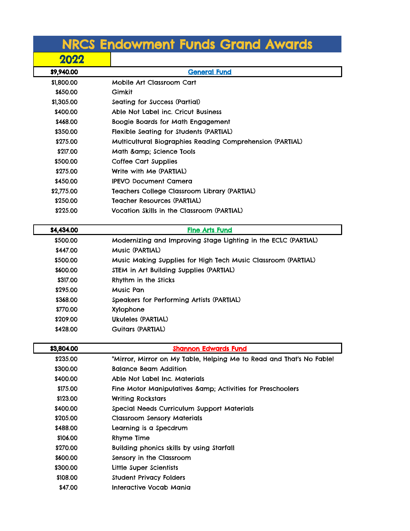|            | <b>NRCS Endowment Funds Grand Awards</b>                             |
|------------|----------------------------------------------------------------------|
| 2022       |                                                                      |
| \$9,940.00 | <b>General Fund</b>                                                  |
| \$1,800.00 | Mobile Art Classroom Cart                                            |
| \$650.00   | Gimkit                                                               |
| \$1,305.00 | Seating for Success (Partial)                                        |
| \$400.00   | Able Not Label inc. Cricut Business                                  |
| \$468.00   | <b>Boogie Boards for Math Engagement</b>                             |
| \$350.00   | Flexible Seating for Students (PARTIAL)                              |
| \$275.00   | Multicultural Biographies Reading Comprehension (PARTIAL)            |
| \$217.00   | Math & Science Tools                                                 |
| \$500.00   | <b>Coffee Cart Supplies</b>                                          |
| \$275.00   | Write with Me (PARTIAL)                                              |
| \$450.00   | <b>IPEVO Document Camera</b>                                         |
| \$2,775.00 | <b>Teachers College Classroom Library (PARTIAL)</b>                  |
| \$250.00   | Teacher Resources (PARTIAL)                                          |
| \$225.00   | Vocation Skills in the Classroom (PARTIAL)                           |
| \$4,434.00 | <b>Fine Arts Fund</b>                                                |
| \$500.00   | Modernizing and Improving Stage Lighting in the ECLC (PARTIAL)       |
| \$447.00   | Music (PARTIAL)                                                      |
| \$500.00   | Music Making Supplies for High Tech Music Classroom (PARTIAL)        |
| \$600.00   | STEM in Art Building Supplies (PARTIAL)                              |
| \$317.00   | Rhythm in the Sticks                                                 |
| \$295.00   | Music Pan                                                            |
| \$368.00   | Speakers for Performing Artists (PARTIAL)                            |
| \$770.00   | Xylophone                                                            |
| \$209.00   | <b>Ukuleles (PARTIAL)</b>                                            |
| \$428.00   | <b>Guitars (PARTIAL)</b>                                             |
| \$3,804.00 | <b>Shannon Edwards Fund</b>                                          |
| \$235.00   | "Mirror, Mirror on My Table, Helping Me to Read and That's No Fable! |
| \$300.00   | <b>Balance Beam Addition</b>                                         |
| \$400.00   | Able Not Label Inc. Materials                                        |
| \$175.00   | Fine Motor Manipulatives & amp; Activities for Preschoolers          |
| \$123.00   | <b>Writing Rockstars</b>                                             |
| \$400.00   | Special Needs Curriculum Support Materials                           |
| \$205.00   | <b>Classroom Sensory Materials</b>                                   |
| \$488.00   | Learning is a Specdrum                                               |
| \$106.00   | Rhyme Time                                                           |
| \$270.00   | Building phonics skills by using Starfall                            |
| \$600.00   | Sensory in the Classroom                                             |
| \$300.00   | Little Super Scientists                                              |
| \$108.00   | <b>Student Privacy Folders</b>                                       |
| \$47.00    | Interactive Vocab Mania                                              |
|            |                                                                      |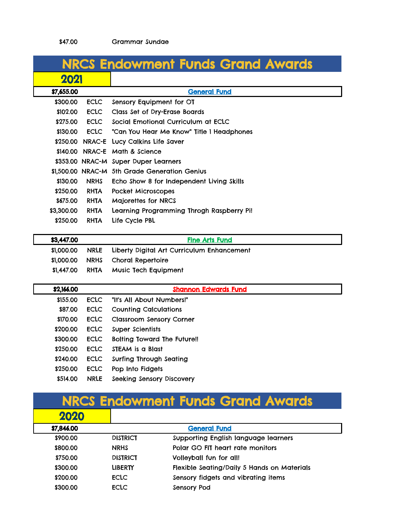|            |             | <b>NRCS Endowment Funds Grand Awards</b>      |
|------------|-------------|-----------------------------------------------|
| 2021       |             |                                               |
| \$7,655.00 |             | <b>General Fund</b>                           |
| \$300.00   | <b>ECLC</b> | Sensory Equipment for OT                      |
| \$102.00   | <b>ECLC</b> | Class Set of Dry-Erase Boards                 |
| \$275.00   | <b>ECLC</b> | Social Emotional Curriculum at ECLC           |
| \$130.00   | <b>ECLC</b> | "Can You Hear Me Know" Title I Headphones     |
|            |             | \$250.00 NRAC-E Lucy Calkins Life Saver       |
|            |             | \$140.00 NRAC-E Math & Science                |
|            |             | \$353.00 NRAC-M Super Duper Learners          |
|            |             | \$1,500.00 NRAC-M 5th Grade Generation Genius |
| \$130.00   | <b>NRHS</b> | Echo Show 8 for Independent Living Skills     |
| \$250.00   | <b>RHTA</b> | Pocket Microscopes                            |
| \$675.00   | <b>RHTA</b> | <b>Majorettes for NRCS</b>                    |
| \$3,300.00 | <b>RHTA</b> | Learning Programming Throgh Raspberry Pi!     |
| \$250.00   | <b>RHTA</b> | Life Cycle PBL                                |
| \$3,447.00 |             | <b>Fine Arts Fund</b>                         |
| \$1,000.00 | <b>NRLE</b> | Liberty Digital Art Curriculum Enhancement    |
| \$1,000.00 | <b>NRHS</b> | <b>Choral Repertoire</b>                      |
| \$1,447.00 | <b>RHTA</b> | <b>Music Tech Equipment</b>                   |
| \$2,166.00 |             | <b>Shannon Edwards Fund</b>                   |

| \$2,166.00 |             | <b>Shannon Edwards Fund</b>        |  |
|------------|-------------|------------------------------------|--|
| \$155.00   |             | ECLC "It's All About Numbers!"     |  |
| \$87.00    |             | <b>ECLC</b> Counting Calculations  |  |
| \$170.00   | <b>ECLC</b> | <b>Classroom Sensory Corner</b>    |  |
| \$200.00   | <b>ECLC</b> | <b>Super Scientists</b>            |  |
| \$300.00   | <b>ECLC</b> | <b>Bolting Toward The Future!!</b> |  |
| \$250.00   | <b>ECLC</b> | STEAM is a Blast                   |  |
| \$240.00   | <b>ECLC</b> | <b>Surfing Through Seating</b>     |  |
| \$250.00   | <b>ECLC</b> | Pop Into Fidgets                   |  |
| \$514.00   | <b>NRLE</b> | Seeking Sensory Discovery          |  |
|            |             |                                    |  |

|            |                 | <b>NRCS Endowment Funds Grand Awards</b>    |
|------------|-----------------|---------------------------------------------|
| 2020       |                 |                                             |
| \$7,846.00 |                 | <b>General Fund</b>                         |
| \$900.00   | <b>DISTRICT</b> | Supporting English language learners        |
| \$800.00   | <b>NRHS</b>     | Polar GO FIT heart rate monitors            |
| \$750.00   | <b>DISTRICT</b> | Volleyball fun for all!                     |
| \$300.00   | <b>LIBERTY</b>  | Flexible Seating/Daily 5 Hands on Materials |
| \$200.00   | <b>ECLC</b>     | Sensory fidgets and vibrating items         |
| \$300.00   | <b>ECLC</b>     | <b>Sensory Pod</b>                          |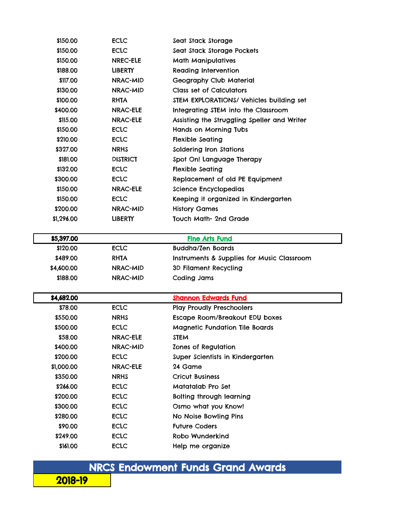| \$150.00   | <b>ECLC</b>     | Seat Stack Storage                                    |
|------------|-----------------|-------------------------------------------------------|
| \$150.00   | <b>ECLC</b>     | Seat Stack Storage Pockets                            |
| \$150.00   | <b>NREC-ELE</b> | <b>Math Manipulatives</b>                             |
| \$188.00   | <b>LIBERTY</b>  | <b>Reading Intervention</b>                           |
| \$117.00   | <b>NRAC-MID</b> | Geography Club Material                               |
| \$130.00   | <b>NRAC-MID</b> | <b>Class set of Calculators</b>                       |
| \$100.00   | <b>RHTA</b>     | STEM EXPLORATIONS/ Vehicles building set              |
| \$400.00   | <b>NRAC-ELE</b> | Integrating STEM into the Classroom                   |
| \$115.00   | NRAC-ELE        | Assisting the Struggling Speller and Writer           |
| \$150.00   | <b>ECLC</b>     | <b>Hands on Morning Tubs</b>                          |
| \$210.00   | <b>ECLC</b>     | <b>Flexible Seating</b>                               |
| \$327.00   | <b>NRHS</b>     | <b>Soldering Iron Stations</b>                        |
| \$181.00   | <b>DISTRICT</b> | Spot On! Language Therapy                             |
| \$132.00   | <b>ECLC</b>     | <b>Flexible Seating</b>                               |
| \$300.00   | <b>ECLC</b>     | Replacement of old PE Equipment                       |
| \$150.00   | NRAC-ELE        | <b>Science Encyclopedias</b>                          |
| \$150.00   | <b>ECLC</b>     | Keeping it organized in Kindergarten                  |
| \$200.00   | <b>NRAC-MID</b> | <b>History Games</b>                                  |
| \$1,296.00 | <b>LIBERTY</b>  | <b>Touch Math- 2nd Grade</b>                          |
|            |                 |                                                       |
| \$5,397.00 |                 | <b>Fine Arts Fund</b>                                 |
| \$120.00   | <b>ECLC</b>     | <b>Buddha/Zen Boards</b>                              |
| \$489.00   | <b>RHTA</b>     | <b>Instruments &amp; Supplies for Music Classroom</b> |
| \$4,600.00 | NRAC-MID        | 3D Filament Recycling                                 |
| \$188.00   | <b>NRAC-MID</b> | <b>Coding Jams</b>                                    |
|            |                 |                                                       |
| \$4,682.00 |                 | <b>Shannon Edwards Fund</b>                           |
| \$78.00    | <b>ECLC</b>     | <b>Play Proudly Preschoolers</b>                      |
| \$550.00   | <b>NRHS</b>     |                                                       |
| \$500.00   |                 | Escape Room/Breakout EDU boxes                        |
|            | <b>ECLC</b>     | <b>Magnetic Fundation Tile Boards</b>                 |
| \$58.00    | NRAC-ELE        | <b>STEM</b>                                           |
| \$400.00   | <b>NRAC-MID</b> | <b>Zones of Regulation</b>                            |
| \$200.00   | <b>ECLC</b>     | Super Scientists in Kindergarten                      |
| \$1,000.00 | NRAC-ELE        | 24 Game                                               |
| \$350.00   | <b>NRHS</b>     | <b>Cricut Business</b>                                |
| \$266.00   | <b>ECLC</b>     | Matatalab Pro Set                                     |
| \$200.00   | <b>ECLC</b>     | Bolting through learning                              |
| \$300.00   | <b>ECLC</b>     | Osmo what you Know!                                   |
| \$280.00   | <b>ECLC</b>     | No Noise Bowling Pins                                 |
| \$90.00    | <b>ECLC</b>     | <b>Future Coders</b>                                  |
| \$249.00   | <b>ECLC</b>     | Robo Wunderkind                                       |

NRCS Endowment Funds Grand Awards

2018-19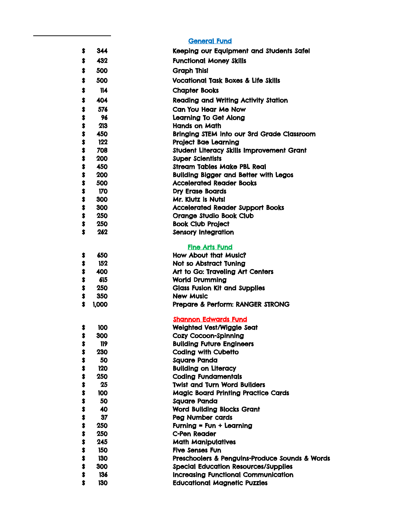|          |            | <b>General Fund</b>                                      |
|----------|------------|----------------------------------------------------------|
| \$       | 344        | Keeping our Equipment and Students Safe!                 |
| \$       | 432        | <b>Functional Money Skills</b>                           |
| \$       | 500        | <b>Graph This!</b>                                       |
| \$       | 500        | <b>Vocational Task Boxes &amp; Life Skills</b>           |
| \$       | 114        | <b>Chapter Books</b>                                     |
| \$       | 404        | Reading and Writing Activity Station                     |
| \$       | 576        | Can You Hear Me Now                                      |
| \$       | 96         | <b>Learning To Get Along</b>                             |
| \$       | 213        | <b>Hands on Math</b>                                     |
| \$       | 450        | Bringing STEM into our 3rd Grade Classroom               |
| \$       | 122        | <b>Project Bae Learning</b>                              |
| \$       | 708        | Student Literacy Skills Improvement Grant                |
| \$       | 200        | <b>Super Scientists</b>                                  |
| \$       | 450        | <b>Stream Tables Make PBL Real</b>                       |
| \$       | 200        | <b>Building Bigger and Better with Legos</b>             |
| \$       | 500        | <b>Accelerated Reader Books</b>                          |
| \$<br>\$ | 170<br>300 | <b>Dry Erase Boards</b><br>Mr. Klutz is Nuts!            |
| \$       | 300        | <b>Accelerated Reader Support Books</b>                  |
| \$       | 250        | Orange Studio Book Club                                  |
| \$       | 250        | <b>Book Club Project</b>                                 |
| \$       | 262        | <b>Sensory Integration</b>                               |
|          |            |                                                          |
|          |            | <b>Fine Arts Fund</b>                                    |
| \$       | 650        | <b>How About that Music?</b>                             |
| \$       | 152        | Not so Abstract Tuning                                   |
| \$       | 400        | Art to Go: Traveling Art Centers                         |
| \$       | 615        | <b>World Drumming</b>                                    |
| \$<br>\$ | 250<br>350 | <b>Glass Fusion Kit and Supplies</b><br><b>New Music</b> |
| \$       | 1,000      | Prepare & Perform: RANGER STRONG                         |
|          |            |                                                          |
|          |            | <b>Shannon Edwards Fund</b>                              |
| \$       | 100        | Weighted Vest/Wiggle Seat                                |
| \$       | 300        | Cozy Cocoon-Spinning                                     |
| \$       | 119        | <b>Building Future Engineers</b>                         |
| \$       | 230        | <b>Coding with Cubetto</b>                               |
| \$       | 50         | <b>Square Panda</b>                                      |
| \$       | 120        | <b>Building on Literacy</b>                              |
| \$       | 250        | <b>Coding Fundamentals</b>                               |
| \$       | 25         | <b>Twist and Turn Word Builders</b>                      |
| \$       | 100<br>50  | <b>Magic Board Printing Practice Cards</b>               |
| \$<br>\$ | 40         | <b>Square Panda</b><br><b>Word Building Blocks Grant</b> |
| \$       | 37         | Peg Number cards                                         |
| \$       | 250        | Furning = $Fun + Learning$                               |
| \$       | 250        | C-Pen Reader                                             |
| \$       | 245        | <b>Math Manipulatives</b>                                |
| \$       | 150        | <b>Five Senses Fun</b>                                   |
| \$       | 130        | Preschoolers & Penguins-Produce Sounds & Words           |
| \$       | 300        | <b>Special Education Resources/Supplies</b>              |
| \$       | 136        | <b>Increasing Functional Communication</b>               |

(\$ 130) Educational Magnetic Puzzles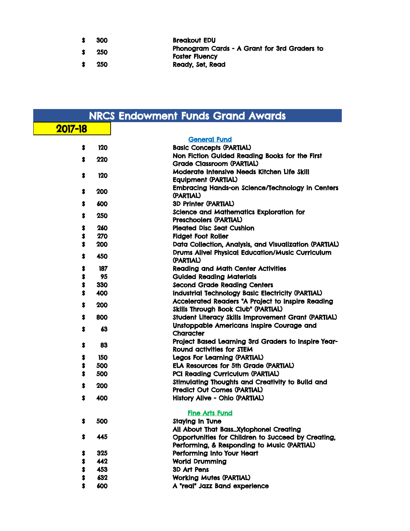| - \$ | 300 | <b>Breakout EDU</b>                                                   |
|------|-----|-----------------------------------------------------------------------|
| - 3  | 250 | Phonogram Cards - A Grant for 3rd Graders to<br><b>Foster Fluency</b> |
| - \$ | 250 | Ready, Set, Read                                                      |

|           |            | <b>NRCS Endowment Funds Grand Awards</b>                                                                          |
|-----------|------------|-------------------------------------------------------------------------------------------------------------------|
| 2017-18   |            |                                                                                                                   |
|           |            | <b>General Fund</b>                                                                                               |
| \$        | 120        | <b>Basic Concepts (PARTIAL)</b>                                                                                   |
| \$        | 220        | Non Fiction Guided Reading Books for the First                                                                    |
|           |            | Grade Classroom (PARTIAL)<br>Moderate Intensive Needs Kitchen Life Skill                                          |
| \$        | 120        | <b>Equipment (PARTIAL)</b>                                                                                        |
|           |            | <b>Embracing Hands-on Science/Technology in Centers</b>                                                           |
| \$        | 200        | <b>(PARTIAL)</b>                                                                                                  |
| \$        | 600        | <b>3D Printer (PARTIAL)</b>                                                                                       |
| \$        | 250        | <b>Science and Mathematics Exploration for</b>                                                                    |
|           |            | <b>Preschoolers (PARTIAL)</b>                                                                                     |
| \$        | 260        | <b>Pleated Disc Seat Cushion</b>                                                                                  |
| \$<br>\$  | 270<br>200 | <b>Fidget Foot Roller</b>                                                                                         |
|           |            | Data Collection, Analysis, and Visualization (PARTIAL)<br><b>Drums Alive! Physical Education/Music Curriculum</b> |
| \$        | 450        | <b>(PARTIAL)</b>                                                                                                  |
| \$        | 187        | <b>Reading and Math Center Activities</b>                                                                         |
| \$        | 95         | <b>Guided Reading Materials</b>                                                                                   |
| \$        | 330        | <b>Second Grade Reading Centers</b>                                                                               |
| $\bullet$ | 400        | Industrial Technology Basic Electricity (PARTIAL)                                                                 |
| s         | 200        | Accelerated Readers "A Project to Inspire Reading                                                                 |
| \$        |            | Skills Through Book Club" (PARTIAL)                                                                               |
|           | 800        | Student Literacy Skills Improvement Grant (PARTIAL)<br>Unstoppable Americans inspire Courage and                  |
| \$        | 63         | Character                                                                                                         |
|           |            | Project Based Learning 3rd Graders to Inspire Year-                                                               |
| \$        | 83         | Round activities for STEM                                                                                         |
| \$        | 150        | Legos For Learning (PARTIAL)                                                                                      |
| \$        | 500        | <b>ELA Resources for 5th Grade (PARTIAL)</b>                                                                      |
| \$        | 500        | PCI Reading Curriculum (PARTIAL)                                                                                  |
| \$        | 200        | Stimulating Thoughts and Creativity to Build and<br><b>Predict Out Comes (PARTIAL)</b>                            |
| \$        | 400        | <b>History Alive - Ohio (PARTIAL)</b>                                                                             |
|           |            |                                                                                                                   |
|           |            | <b>Fine Arts Fund</b>                                                                                             |
| \$        | 500        | <b>Staying In Tune</b>                                                                                            |
| \$        | 445        | All About That Bass Xylophone! Creating                                                                           |
|           |            | Opportunities for Children to Succeed by Creating,<br>Performing, & Responding to Music (PARTIAL)                 |
| \$        | 325        | Performing Into Your Heart                                                                                        |
| \$        | 442        | <b>World Drumming</b>                                                                                             |
| \$        | 453        | 3D Art Pens                                                                                                       |
| \$        | 632        | <b>Working Mutes (PARTIAL)</b>                                                                                    |
| \$        | 600        | A "real" Jazz Band experience                                                                                     |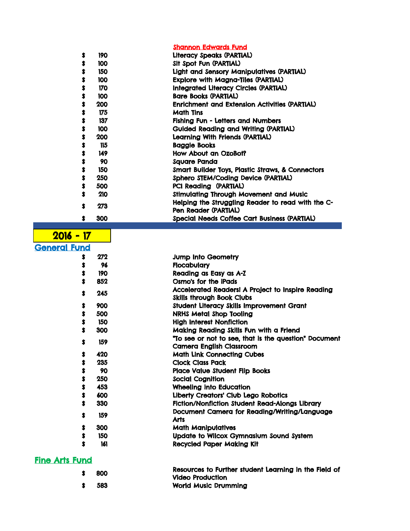|                       |            | <b>Shannon Edwards Fund</b>                                                              |
|-----------------------|------------|------------------------------------------------------------------------------------------|
| \$                    | 190        | <b>Literacy Speaks (PARTIAL)</b>                                                         |
| \$                    | 100        | Sit Spot Fun (PARTIAL)                                                                   |
| \$                    | 150        | Light and Sensory Manipulatives (PARTIAL)                                                |
| \$                    | 100        | <b>Explore with Magna-Tiles (PARTIAL)</b>                                                |
| \$                    | 170        | Integrated Literacy Circles (PARTIAL)                                                    |
| \$                    | 100        | <b>Bare Books (PARTIAL)</b>                                                              |
| \$                    | 200        | <b>Enrichment and Extension Activities (PARTIAL)</b>                                     |
| \$                    | 175        | <b>Math Tins</b>                                                                         |
| \$                    | 137        | Fishing Fun - Letters and Numbers                                                        |
| \$                    | 100        | <b>Guided Reading and Writing (PARTIAL)</b>                                              |
| \$                    | 200        | Learning With Friends (PARTIAL)                                                          |
| \$                    | 115        | <b>Baggie Books</b>                                                                      |
| \$                    | 149        | How About an OzoBot?                                                                     |
| \$                    | 90         | <b>Square Panda</b>                                                                      |
| \$                    | 150        | Smart Builder Toys, Plastic Straws, & Connectors                                         |
| \$                    | 250        | Sphero STEM/Coding Device (PARTIAL)                                                      |
| \$                    | 500        | PCI Reading (PARTIAL)                                                                    |
| \$                    | 210        | <b>Stimulating Through Movement and Music</b>                                            |
|                       |            | Helping the Struggling Reader to read with the C-                                        |
| \$                    | 273        | Pen Reader (PARTIAL)                                                                     |
| \$                    | 300        | Special Needs Coffee Cart Business (PARTIAL)                                             |
|                       |            |                                                                                          |
| 2016 - 17             |            |                                                                                          |
| <b>General Fund</b>   |            |                                                                                          |
| \$                    | 272        | <b>Jump Into Geometry</b>                                                                |
| \$                    | 96         | <b>Flocabulary</b>                                                                       |
| \$                    | 190        | Reading as Easy as A-Z                                                                   |
| \$                    | 852        | Osmo's for the iPads                                                                     |
|                       |            | Accelerated Readers! A Project to Inspire Reading                                        |
| \$                    | 245        | <b>Skills through Book Clubs</b>                                                         |
| \$                    | 900        | Student Literacy Skills Improvement Grant                                                |
| \$                    | 500        | <b>NRHS Metal Shop Tooling</b>                                                           |
| \$                    | 150        | <b>High Interest Nonfiction</b>                                                          |
| \$                    | 300        | Making Reading Skills Fun with a Friend                                                  |
| \$                    | 159        | "To see or not to see, that is the question" Document<br><b>Camera English Classroom</b> |
| \$                    | 420        | <b>Math Link Connecting Cubes</b>                                                        |
| \$                    | 235        | <b>Clock Class Pack</b>                                                                  |
| \$                    | 90         | Place Value Student Flip Books                                                           |
| \$                    | 250        | <b>Social Cognition</b>                                                                  |
| \$                    | 453        | <b>Wheeling into Education</b>                                                           |
| \$                    | 600        | Liberty Creators' Club Lego Robotics                                                     |
| \$                    | 330        | Fiction/Nonfiction Student Read-Alongs Library                                           |
| \$                    | 159        | Document Camera for Reading/Writing/Language                                             |
|                       |            | <b>Arts</b>                                                                              |
| \$                    | 300        | <b>Math Manipulatives</b>                                                                |
| \$<br>s.              | 150<br>161 | Update to Wilcox Gymnasium Sound System<br><b>Recycled Paper Making Kit</b>              |
|                       |            |                                                                                          |
|                       |            |                                                                                          |
| <b>Fine Arts Fund</b> |            |                                                                                          |

| s. | 800 | Resources to Further student Learning in the Field of<br>Video Production |
|----|-----|---------------------------------------------------------------------------|
| s. | 583 | <b>World Music Drumming</b>                                               |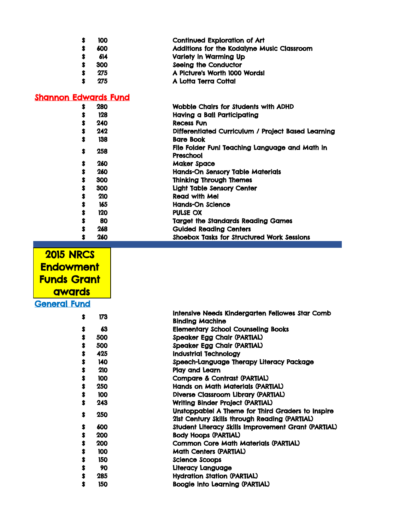| -31 | 100 | <b>Continued Exploration of Art</b>        |
|-----|-----|--------------------------------------------|
| s   | 600 | Additions for the Kodalyne Music Classroom |
|     | 614 | Variety in Warming Up                      |
| s.  | 300 | Seeing the Conductor                       |
|     | 275 | A Picture's Worth 1000 Words!              |
|     | 275 | A Lotta Terra Cotta!                       |

## Shannon Edwards Fund

| s  | 280 | Wobble Chairs for Students with ADHD                        |
|----|-----|-------------------------------------------------------------|
|    | 128 | Having a Ball Participating                                 |
| s  | 240 | Recess Fun                                                  |
| s  | 242 | Differentiated Curriculum / Project Based Learning          |
| s  | 138 | <b>Bare Book</b>                                            |
| s  | 258 | File Folder Fun! Teaching Language and Math in<br>Preschool |
| s  | 260 | Maker Space                                                 |
| Ŝ  | 260 | Hands-On Sensory Table Materials                            |
| S  | 300 | <b>Thinking Through Themes</b>                              |
| S  | 300 | Light Table Sensory Center                                  |
| Ŝ  | 210 | Read with Me!                                               |
| Ŝ  | 165 | Hands-On Science                                            |
| \$ | 120 | <b>PULSE OX</b>                                             |
| \$ | 80  | <b>Target the Standards Reading Games</b>                   |
| S  | 268 | <b>Guided Reading Centers</b>                               |
| S  | 260 | <b>Shoebox Tasks for Structured Work Sessions</b>           |

2015 NRCS **Endowment** Funds Grant **awards** 

# General Fund

| s  | 173 | Intensive Needs Kindergarten Fellowes Star Comb<br><b>Binding Machine</b>                          |
|----|-----|----------------------------------------------------------------------------------------------------|
| \$ | 63  | <b>Elementary School Counseling Books</b>                                                          |
| \$ | 500 | Speaker Egg Chair (PARTIAL)                                                                        |
| \$ | 500 | Speaker Egg Chair (PARTIAL)                                                                        |
| \$ | 425 | <b>Industrial Technology</b>                                                                       |
| \$ | 140 | Speech-Language Therapy Literacy Package                                                           |
| \$ | 210 | Play and Learn                                                                                     |
| \$ | 100 | Compare & Contrast (PARTIAL)                                                                       |
| \$ | 250 | Hands on Math Materials (PARTIAL)                                                                  |
| \$ | 100 | Diverse Classroom Library (PARTIAL)                                                                |
| Ŝ  | 243 | Writing Binder Project (PARTIAL)                                                                   |
| s  | 250 | Unstoppable! A Theme for Third Graders to Inspire<br>21st Century Skills through Reading (PARTIAL) |
| \$ | 600 | Student Literacy Skills Improvement Grant (PARTIAL)                                                |
| s  | 200 | <b>Body Hoops (PARTIAL)</b>                                                                        |
| \$ | 200 | Common Core Math Materials (PARTIAL)                                                               |
| s  | 100 | <b>Math Centers (PARTIAL)</b>                                                                      |
| \$ | 150 | <b>Science Scoops</b>                                                                              |
| \$ | 90  | Literacy Language                                                                                  |
| \$ | 285 | <b>Hydration Station (PARTIAL)</b>                                                                 |
| s  | 150 | Boogie into Learning (PARTIAL)                                                                     |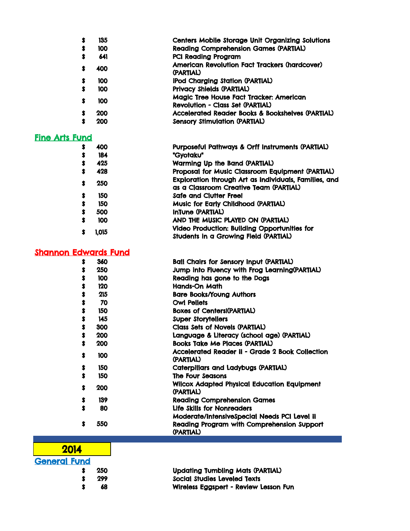- (\$ 135) Centers Mobile Storage Unit Organizing Solutions
- (\$ 100) Reading Comprehension Games (PARTIAL)
	- (\$ 641) PCI Reading Program (\$ 400) American Revolution Fact Trackers (hardcover)
		- (PARTIAL)
	- (\$ 100) iPod Charging Station (PARTIAL)
		- (\$ 100) Privacy Shields (PARTIAL)
	- (\$ 100) Magic Tree House Fact Tracker: American
- Revolution Class Set (PARTIAL)
- (\$ 200) Accelerated Reader Books & Bookshelves (PARTIAL) \$ 200 Sensory Stimulation (PARTIAL)

## Fine Arts Fund

| S | 400   | Purposeful Pathways & Orff Instruments (PARTIAL)                                                |
|---|-------|-------------------------------------------------------------------------------------------------|
| s | 184   | "Gyotaku"                                                                                       |
|   | 425   | Warming Up the Band (PARTIAL)                                                                   |
|   | 428   | Proposal for Music Classroom Equipment (PARTIAL)                                                |
|   | 250   | Exploration through Art as Individuals, Families, and<br>as a Classroom Creative Team (PARTIAL) |
| s | 150   | Safe and Clutter Free!                                                                          |
|   | 150   | Music for Early Childhood (PARTIAL)                                                             |
|   | 500   | <b>InTune (PARTIAL)</b>                                                                         |
|   | 100   | AND THE MUSIC PLAYED ON (PARTIAL)                                                               |
|   | 1,015 | Video Production: Building Opportunities for<br>Students in a Growing Field (PARTIAL)           |

### Shannon Edwards Fund

| s  | 360 | <b>Ball Chairs for Sensory Input (PARTIAL)</b>                             |
|----|-----|----------------------------------------------------------------------------|
| s  | 250 | Jump into Fluency with Frog Learning(PARTIAL)                              |
| \$ | 100 | Reading has gone to the Dogs                                               |
| \$ | 120 | Hands-On Math                                                              |
| \$ | 215 | <b>Bare Books/Young Authors</b>                                            |
| \$ | 70  | <b>Owl Pellets</b>                                                         |
| \$ | 150 | <b>Boxes of Centers!(PARTIAL)</b>                                          |
| \$ | 145 | <b>Super Storytellers</b>                                                  |
| \$ | 300 | Class Sets of Novels (PARTIAL)                                             |
| \$ | 200 | Language & Literacy (school age) (PARTIAL)                                 |
| \$ | 200 | <b>Books Take Me Piaces (PARTIAL)</b>                                      |
| s  | 100 | <b>Accelerated Reader II - Grade 2 Book Collection</b><br><b>(PARTIAL)</b> |
| \$ | 150 | <b>Caterpillars and Ladybugs (PARTIAL)</b>                                 |
| \$ | 150 | <b>The Four Seasons</b>                                                    |
| Ŝ  | 200 | Wilcox Adapted Physical Education Equipment<br>(PARTIAL)                   |
| \$ | 139 | <b>Reading Comprehension Games</b>                                         |
| \$ | 80  | Life Skills for Nonreaders                                                 |
|    |     | Moderate/IntensiveSpecial Needs PCI Level II                               |
| s  | 550 | Reading Program with Comprehension Support<br>(PARTIAL)                    |

| 2014                |     |                                         |
|---------------------|-----|-----------------------------------------|
| <b>General Fund</b> |     |                                         |
|                     | 250 | <b>Updating Tumbling Mats (PARTIAL)</b> |
|                     | 299 | Social Studies Leveled Texts            |
|                     | 68  | Wireless Eggspert - Review Lesson Fun   |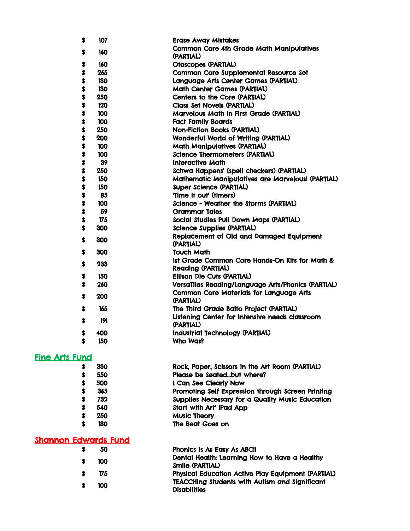| \$        | 107 | <b>Erase Away Mistakes</b>                                                 |
|-----------|-----|----------------------------------------------------------------------------|
| \$        | 160 | <b>Common Core 4th Grade Math Manipulatives</b><br>(PARTIAL)               |
| \$        | 160 | Otoscopes (PARTIAL)                                                        |
| \$        | 265 | Common Core Supplemental Resource Set                                      |
| \$        | 130 | Language Arts Center Games (PARTIAL)                                       |
| \$        | 130 | <b>Math Center Games (PARTIAL)</b>                                         |
| \$        | 250 | Centers to the Core (PARTIAL)                                              |
| \$        | 120 | Class Set Novels (PARTIAL)                                                 |
| \$        | 100 | Marvelous Math in First Grade (PARTIAL)                                    |
| \$        | 100 | <b>Fact Family Boards</b>                                                  |
| \$        | 250 | <b>Non-Fiction Books (PARTIAL)</b>                                         |
| \$        | 200 | Wonderful World of Writing (PARTIAL)                                       |
| \$        | 100 | <b>Math Manipulatives (PARTIAL)</b>                                        |
| \$        | 100 | <b>Science Thermometers (PARTIAL)</b>                                      |
| \$        | 39  | <b>Interactive Math</b>                                                    |
| \$        | 250 | Schwa Happens' (spell checkers) (PARTIAL)                                  |
| \$        | 150 | Mathematic Manipulatives are Marvelous! (PARTIAL)                          |
| \$        | 150 | <b>Super Science (PARTIAL)</b>                                             |
| \$        | 85  | Time it out' (timers)                                                      |
| \$        | 100 | Science - Weather the Storms (PARTIAL)                                     |
| \$        | 59  | <b>Grammar Tales</b>                                                       |
| \$        | 175 | Social Studies Pull Down Maps (PARTIAL)                                    |
| \$        | 300 | <b>Science Supplies (PARTIAL)</b>                                          |
| \$        | 300 | Replacement of Old and Damaged Equipment<br>(PARTIAL)                      |
| s         | 300 | <b>Touch Math</b>                                                          |
| \$        | 233 | Ist Grade Common Core Hands-On Kits for Math &<br><b>Reading (PARTIAL)</b> |
| \$        | 150 | <b>Ellison Die Cuts (PARTIAL)</b>                                          |
| \$        | 260 | VersaTiles Reading/Language Arts/Phonics (PARTIAL)                         |
| \$        | 200 | <b>Common Core Materials for Language Arts</b><br><b>(PARTIAL)</b>         |
| \$        | 165 | The Third Grade Balto Project (PARTIAL)                                    |
| \$        | 191 | Listening Center for Intensive needs classroom<br>(PARTIAL)                |
| \$        | 400 | Industrial Technology (PARTIAL)                                            |
| $\bullet$ | 150 | <b>Who Was?</b>                                                            |
| Euro al I |     |                                                                            |

# Fine Arts Fund

| s | 330 | Rock, Paper, Scissors in the Art Room (PARTIAL)         |
|---|-----|---------------------------------------------------------|
| S | 550 | Please be Seatedbut where?                              |
| s | 500 | I Can See Clearly Now                                   |
| s | 365 | Promoting Self Expression through Screen Printing       |
|   | 732 | <b>Supplies Necessary for a Quality Music Education</b> |
|   | 540 | Start with Art' iPad App                                |
|   | 250 | <b>Music Theory</b>                                     |
|   | 180 | The Beat Goes on                                        |

#### Shannon Edwards Fund \$ 50 Phonics Is As Easy As ABC!! (\$ 100) Dental Health: Learning How to Have a Healthy Smile (PARTIAL) (\$ 175) Physical Education Active Play Equipment (PARTIAL) (\$ 100) TEACCHing Students with Autism and Significant **Disabilities**